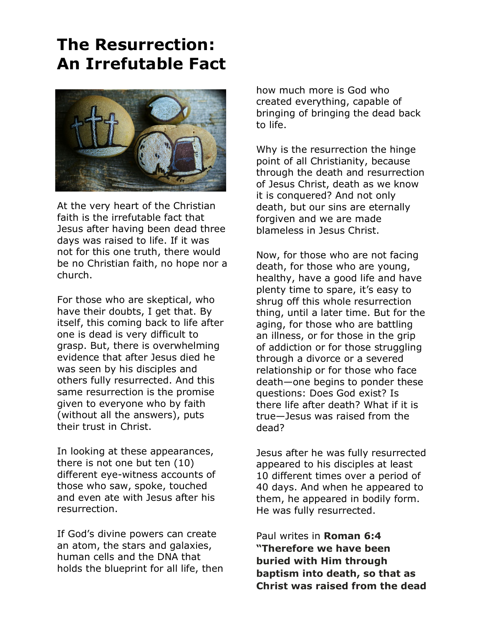## **The Resurrection: An Irrefutable Fact**



At the very heart of the Christian faith is the irrefutable fact that Jesus after having been dead three days was raised to life. If it was not for this one truth, there would be no Christian faith, no hope nor a church.

For those who are skeptical, who have their doubts, I get that. By itself, this coming back to life after one is dead is very difficult to grasp. But, there is overwhelming evidence that after Jesus died he was seen by his disciples and others fully resurrected. And this same resurrection is the promise given to everyone who by faith (without all the answers), puts their trust in Christ.

In looking at these appearances, there is not one but ten (10) different eye-witness accounts of those who saw, spoke, touched and even ate with Jesus after his resurrection.

If God's divine powers can create an atom, the stars and galaxies, human cells and the DNA that holds the blueprint for all life, then

how much more is God who created everything, capable of bringing of bringing the dead back to life.

Why is the resurrection the hinge point of all Christianity, because through the death and resurrection of Jesus Christ, death as we know it is conquered? And not only death, but our sins are eternally forgiven and we are made blameless in Jesus Christ.

Now, for those who are not facing death, for those who are young, healthy, have a good life and have plenty time to spare, it's easy to shrug off this whole resurrection thing, until a later time. But for the aging, for those who are battling an illness, or for those in the grip of addiction or for those struggling through a divorce or a severed relationship or for those who face death—one begins to ponder these questions: Does God exist? Is there life after death? What if it is true—Jesus was raised from the dead?

Jesus after he was fully resurrected appeared to his disciples at least 10 different times over a period of 40 days. And when he appeared to them, he appeared in bodily form. He was fully resurrected.

Paul writes in **Roman 6:4 "Therefore we have been buried with Him through baptism into death, so that as Christ was raised from the dead**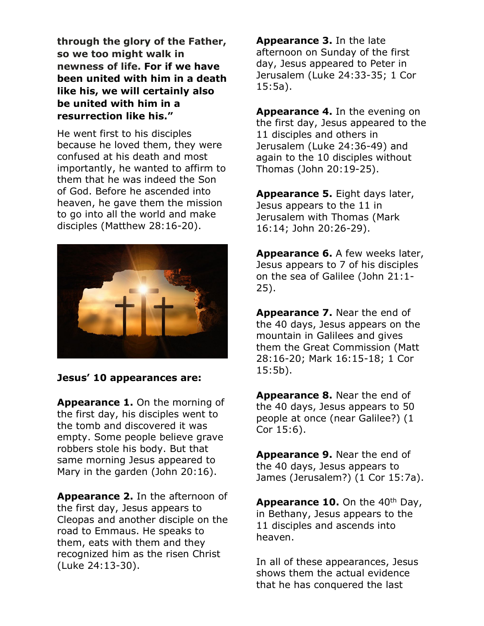**through the glory of the Father, so we too might walk in newness of life. For if we have been united with him in a death like his, we will certainly also be united with him in a resurrection like his."**

He went first to his disciples because he loved them, they were confused at his death and most importantly, he wanted to affirm to them that he was indeed the Son of God. Before he ascended into heaven, he gave them the mission to go into all the world and make disciples (Matthew 28:16-20).



## **Jesus' 10 appearances are:**

**Appearance 1.** On the morning of the first day, his disciples went to the tomb and discovered it was empty. Some people believe grave robbers stole his body. But that same morning Jesus appeared to Mary in the garden (John 20:16).

**Appearance 2.** In the afternoon of the first day, Jesus appears to Cleopas and another disciple on the road to Emmaus. He speaks to them, eats with them and they recognized him as the risen Christ (Luke 24:13-30).

**Appearance 3.** In the late afternoon on Sunday of the first day, Jesus appeared to Peter in Jerusalem (Luke 24:33-35; 1 Cor 15:5a).

**Appearance 4.** In the evening on the first day, Jesus appeared to the 11 disciples and others in Jerusalem (Luke 24:36-49) and again to the 10 disciples without Thomas (John 20:19-25).

**Appearance 5.** Eight days later, Jesus appears to the 11 in Jerusalem with Thomas (Mark 16:14; John 20:26-29).

**Appearance 6.** A few weeks later, Jesus appears to 7 of his disciples on the sea of Galilee (John 21:1- 25).

**Appearance 7.** Near the end of the 40 days, Jesus appears on the mountain in Galilees and gives them the Great Commission (Matt 28:16-20; Mark 16:15-18; 1 Cor 15:5b).

**Appearance 8.** Near the end of the 40 days, Jesus appears to 50 people at once (near Galilee?) (1 Cor 15:6).

**Appearance 9.** Near the end of the 40 days, Jesus appears to James (Jerusalem?) (1 Cor 15:7a).

**Appearance 10.** On the 40<sup>th</sup> Day, in Bethany, Jesus appears to the 11 disciples and ascends into heaven.

In all of these appearances, Jesus shows them the actual evidence that he has conquered the last